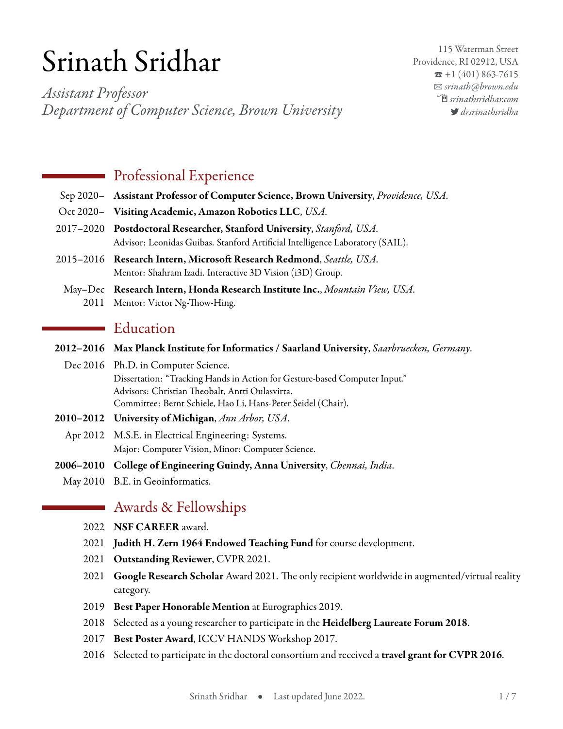# Srinath Sridhar

*Assistant Professor Department of Computer Science, Brown University*

115 Waterman Street Providence, RI 02912, USA  $\bar{x}$  +1 (401) 863-7615 B *[srinath@brown.edu](mailto:srinath@brown.edu)* Í*[srinathsridhar.com](http://srinathsridhar.com) [drsrinathsridha](http://www.twitter.com/drsrinathsridha)*

## **Professional Experience**

- Sep 2020– **Assistant Professor of Computer Science, Brown University**, *Providence, USA*.
- Oct 2020– **Visiting Academic, Amazon Robotics LLC**, *USA*.
- 2017–2020 **Postdoctoral Researcher, Stanford University**, *Stanford, USA*. Advisor: Leonidas Guibas. Stanford Artificial Intelligence Laboratory (SAIL).
- 2015–2016 **Research Intern, Microsoft Research Redmond**, *Seattle, USA*. Mentor: Shahram Izadi. Interactive 3D Vision (i3D) Group.
- May–Dec **Research Intern, Honda Research Institute Inc.**, *Mountain View, USA*. 2011 Mentor: Victor Ng-Thow-Hing.

## Education

- **2012–2016 Max Planck Institute for Informatics / Saarland University**, *Saarbruecken, Germany*.
	- Dec 2016 Ph.D. in Computer Science. Dissertation: "Tracking Hands in Action for Gesture-based Computer Input." Advisors: Christian Theobalt, Antti Oulasvirta. Committee: Bernt Schiele, Hao Li, Hans-Peter Seidel (Chair).
- **2010–2012 University of Michigan**, *Ann Arbor, USA*.
	- Apr 2012 M.S.E. in Electrical Engineering: Systems. Major: Computer Vision, Minor: Computer Science.
- **2006–2010 College of Engineering Guindy, Anna University**, *Chennai, India*.
	- May 2010 B.E. in Geoinformatics.

## Awards & Fellowships

- 2022 **NSF CAREER** award.
- 2021 **Judith H. Zern 1964 Endowed Teaching Fund** for course development.
- 2021 **Outstanding Reviewer**, CVPR 2021.
- 2021 **Google Research Scholar** Award 2021. The only recipient worldwide in augmented/virtual reality category.
- 2019 **Best Paper Honorable Mention** at Eurographics 2019.
- 2018 Selected as a young researcher to participate in the **Heidelberg Laureate Forum 2018**.
- 2017 **Best Poster Award**, ICCV HANDS Workshop 2017.
- 2016 Selected to participate in the doctoral consortium and received a **travel grant for CVPR 2016**.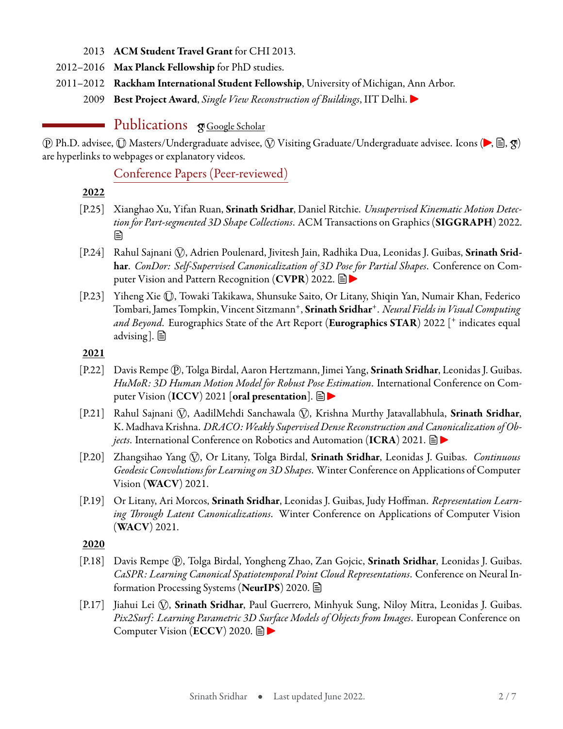- 2013 **ACM Student Travel Grant** for CHI 2013.
- 2012–2016 **Max Planck Fellowship** for PhD studies.
- 2011–2012 **Rackham International Student Fellowship**, University of Michigan, Ann Arbor.

2009 **Best Project Award**, *Single View Reconstruction of Buildings*, IIT Delhi.

# Publications **S**[Google Scholar](https://scholar.google.com/citations?user=qIvZT74AAAAJ)

*p*) Ph.D. advisee, *ℚ* Masters/Undergraduate advisee, *ℚ* Visiting Graduate/Undergraduate advisee. Icons (▶, 을, *g*) are hyperlinks to webpages or explanatory videos.

Conference Papers (Peer-reviewed)

- **2022**
- [P.25] Xianghao Xu, Yifan Ruan, **Srinath Sridhar**, Daniel Ritchie. *Unsupervised Kinematic Motion Detec[tion](https://drive.google.com/file/d/1wLLGl2ypaiaAwyjnJtDFI3wlvoqDm3_7/view) for Part-segmented 3D Shape Collections*. ACM Transactions on Graphics (**SIGGRAPH**) 2022. l≡ì
- [P.24] Rahul Sajnani *Q*), Adrien Poulenard, Jivitesh Jain, Radhika Dua, Leonidas J. Guibas, Srinath Srid**har**. *ConDor: Self-Supervised Canonicalization of 3D Pose for Partial Shapes*. Conference on Computer Vision and Pattern Recognition (**CVPR**) 2022.
- [P.23] Yiheng Xie *⃝*U, Towaki Takikawa, Shunsuke Saito, Or Litany, Shiqin Yan, Numair Khan, Federico Tombari, James Tompkin, Vincent Sitzmann<sup>+</sup> , **Srinath Sridhar**<sup>+</sup> . *Neural Fields in Visual Computing and Beyond*. Eurographics State of the Art Report (**Eurographics STAR**) 2022 [<sup>+</sup> indicates equal advising].  $\Box$

#### **2021**

- [P.22] Davis Rempe *⃝*P , Tolga Birdal, Aaron Hertzmann, Jimei Yang, **Srinath Sridhar**, Leonidas J. Guibas. *HuMoR: 3D Human Motion Model for Robust P[ose E](https://geometry.stanford.edu/projects/humor/)stimation*. International Conference on Computer Vision (**ICCV**) 2021 [**oral presentation**].
- [P.21] Rahul Sajnani *⃝*V , AadilMehdi Sanchawala *⃝*V , Krishna Murthy Jatavallabhula, **Srinath Sridhar**, K. Madhava Krishna. *DRACO: Weakly Supervised Dense Reconstruction and Canonicalization of Objects*. International Conference on Robotics and Automation (ICRA) 2021. **■▶**
- [P.20] Zhangsihao Yang *⃝*V , Or Litany, Tolga Birdal, **Srinath Sridhar**, Leonidas J. Guibas. *Continuous Geodesic Convolutions for Learning on 3D Shapes*. Winter Conference on Applications of Computer Vision (**WACV**) 2021.
- [P.19] Or Litany, Ari Morcos, **Srinath Sridhar**, Leonidas J. Guibas, Judy Hoffman. *Representation Learning Through Latent Canonicalizations*. Winter Conference on Applications of Computer Vision (**WACV**) 2021.

**2020**

- [P.18] Davis Rempe *⃝*P , Tolga Birdal, Yongheng Zhao, Zan Gojcic, **Srinath Sridhar**, Leonidas J. Guibas. *CaSPR: Learning Canonical Spatiotemporal Poi[nt C](https://geometry.stanford.edu/projects/caspr)loud Representations*. Conference on Neural Information Processing Systems (**NeurIPS**) 2020.
- [P.17] Jiahui Lei *Q*), **Srinath Sridhar**, Paul Guerrero, Minhyuk Sung, Niloy Mitra, Leonidas J. Guibas. *Pix2Surf: Learning Parametric 3[D Su](https://geometry.stanford.edu/projects/pix2surf)rface Models of Objects from Images*. European Conference on Computer Vision (**ECCV**) 2020.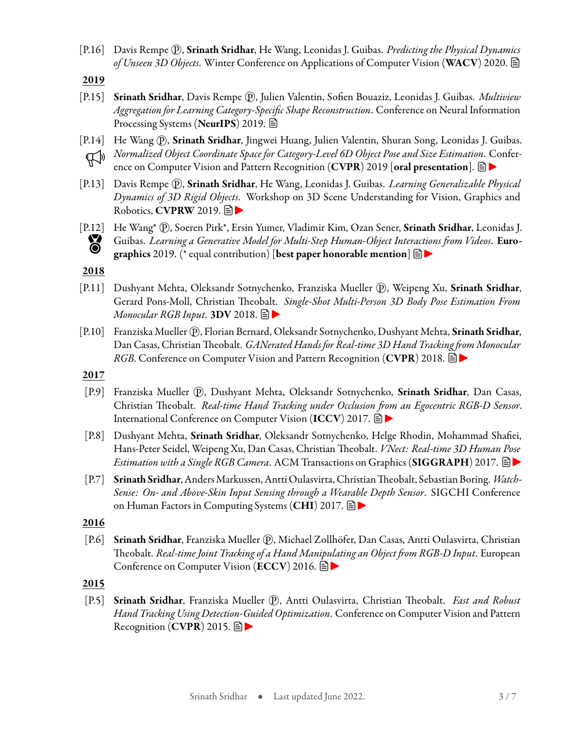[P.16] Davis Rempe *⃝*P , **Srinath Sridhar**, He Wang, Leonidas J. Guibas. *Predicting the Physical Dynamics of Unseen 3D Objects*. Winter Conference on Applications of Computer Vision (**WACV**) 2020.

**2019**

- [P.15] **Srinath Sridhar**, Davis Rempe *⃝*P , Julien Valentin, Sofien Bouaziz, Leonidas J. Guibas. *Multiview Aggregation for Learning Category-Specific Shape Reconstruction*. Conference on Neural Information Processing Systems (**NeurIPS**) 2019.
- [P.14] He Wang *Q*), **Srinath Sridhar**, Jingwei Huang, Julien Valentin, Shuran Song, Leonidas J. Guibas. *Normalized Object Coordinate Space for Category-Level 6D Object Pose and Size Estimation*. Conference on Computer Vision and Pattern Recognition (**CVPR**) 2019 [**oral presentation**].
- [P.13] Davis Rempe *⃝*P , **Srinath Sridhar**, He Wang, Leonidas J. Guibas. *Learning Generalizable Physical Dynamics of 3D Rigid O[bjects](https://geometry.stanford.edu/projects/learningdynamics/)*. Workshop on 3D Scene Understanding for Vision, Graphics and Robotics, **CVPRW** 2019.



[[P.12\]](http://ai.stanford.edu/~ssrinath/misc/photos/EG2019_HonMention_crop.jpg) He Wang<sup>\*</sup> *Q*<sup>p</sup>, Soeren Pirk<sup>\*</sup>, Ersin Yumer, Vladimir Kim, Ozan Sener, **Srinath Sridhar**, Leonidas J.<br>Guibas. *Learning a Generative Model for Multi-Step Human-Object Interactions from Videos*. **Euro-**<br>graphics 2 Guibas. *Learning a Generative Model for Multi-Step Human-Object Interactions from Videos*. **Eurographics** 2019. (\* equal contribution) [**best paper honorable mention**]

#### **2018**

- [P.11] Dushyant Mehta, Oleksandr Sotnychenko, Franziska Mueller (P), Weipeng Xu, Srinath Sridhar, Gerard Pons-Moll, Christian The[obal](http://gvv.mpi-inf.mpg.de/projects/SingleShotMultiPerson/)t. *Single-Shot Multi-Person 3D Body Pose Estimation From Monocular RGB Input*. **3DV** 2018.
- [P.10] Franziska Mueller *⃝*P , Florian Bernard, Oleksandr Sotnychenko, Dushyant Mehta, **Srinath Sridhar**, Dan Casas, Christian Theobalt. *GANerated Hands for Real-time 3D Hand Tracking from Monocular RGB*. Conference on Computer Vision and Pattern Recognition (**CVPR**) 2018.
- **2017**
- [P.9] Franziska Mueller *Q*), Dushyant Mehta, Oleksandr Sotnychenko, **Srinath Sridhar**, Dan Casas, Christian Theobalt. *Real-time Hand Tracking under Occlusio[n fr](http://handtracker.mpi-inf.mpg.de/projects/OccludedHands/)om an Egocentric RGB-D Sensor*. International Conference on Computer Vision (**ICCV**) 2017.
- [P.8] Dushyant Mehta, **Srinath Sridhar**, Oleksandr Sotnychenko, Helge Rhodin, Mohammad Shafiei, Hans-Peter Seidel, Weipeng Xu, Dan Casas, Christian Theobalt. *VNect: Real-time 3D Human Pose Estimation with a Single RGB Camera*. ACM Transactions on Graphics (**SIGGRAPH**) 2017.
- [P.7] **Srinath Sridhar**, AndersMarkussen, Antti Oulasvirta, ChristianTheobalt, Sebastian Boring. *Watch-Sense: On- and Above-Skin Input Sensing through a We[arab](http://handtracker.mpi-inf.mpg.de/projects/WatchSense/)le Depth Sensor*. SIGCHI Conference on Human Factors in Computing Systems (**CHI**) 2017.

**2016**

[P.6] **Srinath Sridhar**, Franziska Mueller *⃝*P , Michael Zollhöfer, Dan Casas, Antti Oulasvirta, Christian Theobalt. *Real-time Joint Tracking of a Hand Manipulating an Object from RGB-D Input*. European Conference on Computer Vision (**ECCV**) 2016.

#### **2015**

[P.5] **Srinath Sridhar**, Franziska Mueller *⃝*P , Antti Oulasvirta, Christian Theobalt. *Fast and Robust Hand Tracking Using Detection-Guided Optimization*. Conference on Computer Vision and Pattern Recognition (**CVPR**) 2015.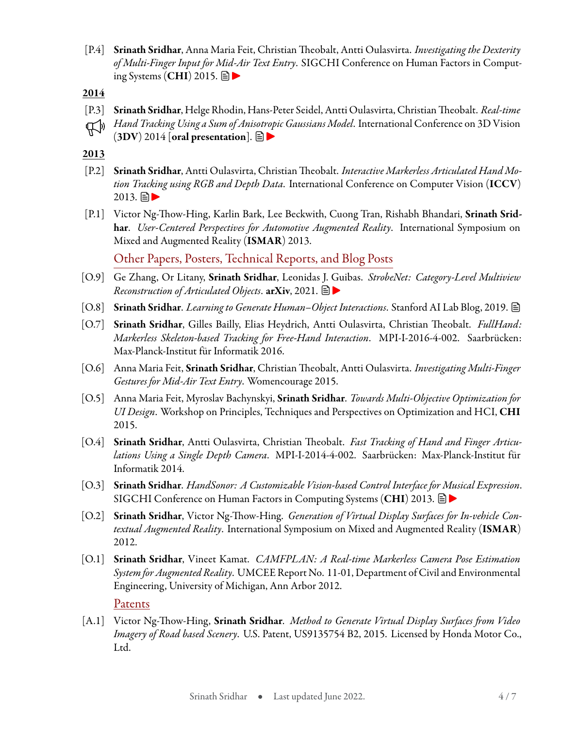[P.4] **Srinath Sridhar**, Anna Maria Feit, Christian Theobalt, Antti Oulasvirta. *Investigating the Dexterity of Multi-Finger Input for [Mid](http://handtracker.mpi-inf.mpg.de/projects/HandDexterity/)-Air Text Entry*. SIGCHI Conference on Human Factors in Computing Systems (**CHI**) 2015.

**2014**

- [P.3] **Srinath Sridhar**, Helge Rhodin, Hans-Peter Seidel, Antti Oulasvirta, ChristianTheobalt. *Real-time*
- *Hand Tracking Using a Sum of An[isotr](http://handtracker.mpi-inf.mpg.de/projects/ellipsoidtracker_3dv2014/)opic Gaussians Model*. International Conference on 3D Vision  $(3DV)$  2014 [oral presentation].  $\Box$

**2013**

- [P.2] **Srinath Sridhar**, Antti Oulasvirta, ChristianTheobalt. *Interactive Markerless Articulated Hand Motion Tracking using RGB and Depth Data*. International Conference on Computer Vision (**ICCV**)  $2013. \Box$
- [P.1] Victor Ng-Thow-Hing, Karlin Bark, Lee Beckwith, Cuong Tran, Rishabh Bhandari, **Srinath Sridhar**. *User-Centered Perspectives for Automotive Augmented Reality*. International Symposium on Mixed and Augmented Reality (**ISMAR**) 2013.

Other Papers, Posters, Technical Reports, and Blog Posts

- [O.9] Ge Zhang, Or Litany, **Srinath Sridhar**, Leonida[s J. G](https://dzhange.github.io/StrobeNet/)uibas. *StrobeNet: Category-Level Multiview Reconstruction of Articulated Objects*. **arXiv**, 2021.
- [O.8] **Srinath Sridhar**. *Learning to Generate Human–Object Interactions*. Stanford AI Lab Blog, 2019.
- [O.7] **Srinath Sridhar**, Gilles Bailly, Elias Heydrich, Antti Oulasvirta, Christian Theobalt. *FullHand: Markerless Skeleton-based Tracking for Free-Hand Interaction*. MPI-I-2016-4-002. Saarbrücken: Max-Planck-Institut für Informatik 2016.
- [O.6] Anna Maria Feit, **Srinath Sridhar**, Christian Theobalt, Antti Oulasvirta. *Investigating Multi-Finger Gestures for Mid-Air Text Entry*. Womencourage 2015.
- [O.5] Anna Maria Feit, Myroslav Bachynskyi, **Srinath Sridhar**. *Towards Multi-Objective Optimization for UI Design*. Workshop on Principles, Techniques and Perspectives on Optimization and HCI, **CHI** 2015.
- [O.4] **Srinath Sridhar**, Antti Oulasvirta, Christian Theobalt. *Fast Tracking of Hand and Finger Articulations Using a Single Depth Camera*. MPI-I-2014-4-002. Saarbrücken: Max-Planck-Institut für Informatik 2014.
- [O.3] **Srinath Sridhar**. *HandSonor: A Customizable Vision-based Control Interface f[or M](http://handtracker.mpi-inf.mpg.de/projects/handsonor/)usical Expression*. SIGCHI Conference on Human Factors in Computing Systems (**CHI**) 2013.
- [O.2] **Srinath Sridhar**, Victor Ng-Thow-Hing. *Generation of Virtual Display Surfaces for In-vehicle Contextual Augmented Reality*. International Symposium on Mixed and Augmented Reality (**ISMAR**) 2012.
- [O.1] **Srinath Sridhar**, Vineet Kamat. *CAMFPLAN: A Real-time Markerless Camera Pose Estimation System for Augmented Reality*. UMCEE Report No. 11-01, Department of Civil and Environmental Engineering, University of Michigan, Ann Arbor 2012.

Patents

[A.1] Victor Ng-Thow-Hing, **Srinath Sridhar**. *Method to Generate Virtual Display Surfaces from Video Imagery of Road based Scenery*. U.S. Patent, US9135754 B2, 2015. Licensed by Honda Motor Co., Ltd.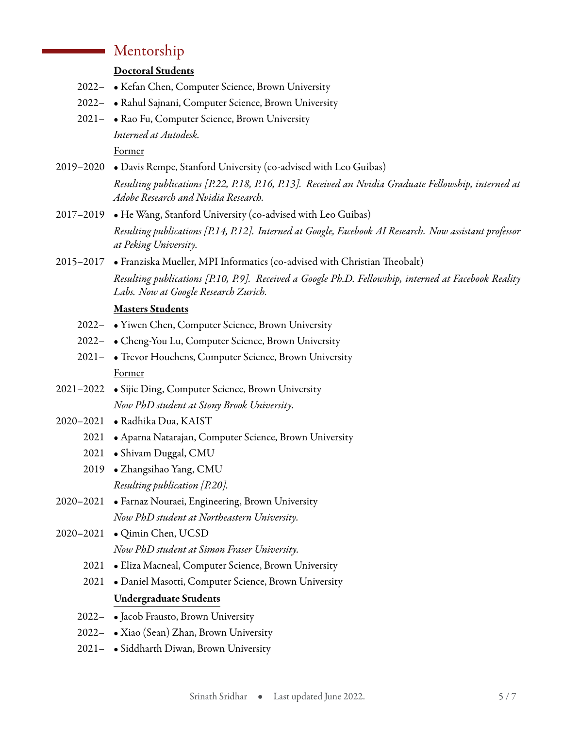## Mentorship

#### **Doctoral Students**

- 2022– Kefan Chen, Computer Science, Brown University
- 2022– Rahul Sajnani, Computer Science, Brown University
- 2021– Rao Fu, Computer Science, Brown University *Interned at Autodesk.* Former
- 2019–2020 Davis Rempe, Stanford University (co-advised with Leo Guibas)

2017–2019 • He Wang, Stanford University (co-advised with Leo Guibas)

*Resulting publications [P.14, P.12]. Interned at Google, Facebook AI Research. Now assistant professor at Peking University.*

2015–2017 • Franziska Mueller, MPI Informatics (co-advised with Christian Theobalt) *Resulting publications [P.10, P.9]. Received a Google Ph.D. Fellowship, interned at Facebook Reality Labs. Now at Google Research Zurich.*

#### **Masters Students**

- 2022– Yiwen Chen, Computer Science, Brown University
- 2022– Cheng-You Lu, Computer Science, Brown University
- 2021– Trevor Houchens, Computer Science, Brown University Former
- 2021–2022 Sijie Ding, Computer Science, Brown University *Now PhD student at Stony Brook University.*
- 2020–2021 Radhika Dua, KAIST
	- 2021 Aparna Natarajan, Computer Science, Brown University
	- 2021 Shivam Duggal, CMU
	- 2019 Zhangsihao Yang, CMU *Resulting publication [P.20].*
- 2020–2021 Farnaz Nouraei, Engineering, Brown University *Now PhD student at Northeastern University.*
- 2020–2021 Qimin Chen, UCSD *Now PhD student at Simon Fraser University.*
	- 2021 Eliza Macneal, Computer Science, Brown University
	- 2021 Daniel Masotti, Computer Science, Brown University **Undergraduate Students**
	- 2022– Jacob Frausto, Brown University
	- 2022– Xiao (Sean) Zhan, Brown University
	- 2021– Siddharth Diwan, Brown University

*Resulting publications [P.22, P.18, P.16, P.13]. Received an Nvidia Graduate Fellowship, interned at Adobe Research and Nvidia Research.*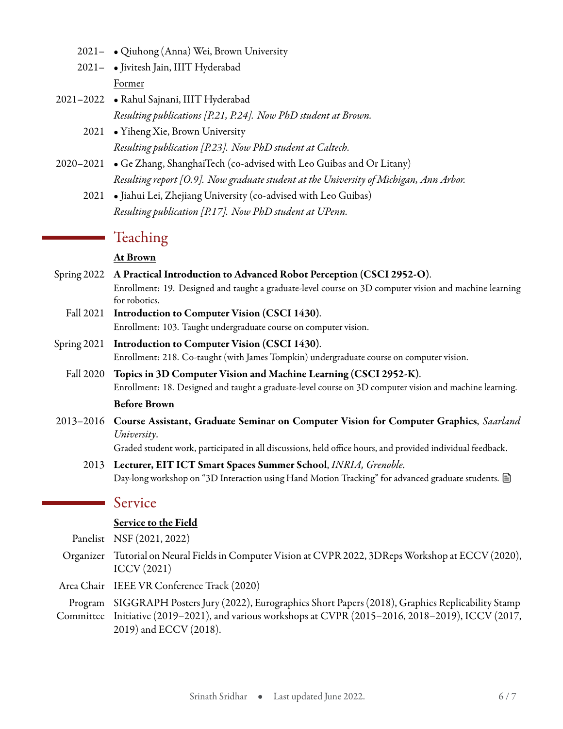- 2021– Qiuhong (Anna) Wei, Brown University
- 2021– Jivitesh Jain, IIIT Hyderabad Former
- 2021–2022 Rahul Sajnani, IIIT Hyderabad *Resulting publications [P.21, P.24]. Now PhD student at Brown.*
	- 2021 Yiheng Xie, Brown University *Resulting publication [P.23]. Now PhD student at Caltech.*
- 2020–2021 Ge Zhang, ShanghaiTech (co-advised with Leo Guibas and Or Litany) *Resulting report [O.9]. Now graduate student at the University of Michigan, Ann Arbor.*
	- 2021 Jiahui Lei, Zhejiang University (co-advised with Leo Guibas) *Resulting publication [P.17]. Now PhD student at UPenn.*

## Teaching

#### **At Brown**

- Spring 2022 **A Practical Introduction to Advanced Robot Perception (CSCI 2952-O)**. Enrollment: 19. Designed and taught a graduate-level course on 3D computer vision and machine learning for robotics.
	- Fall 2021 **Introduction to Computer Vision (CSCI 1430)**. Enrollment: 103. Taught undergraduate course on computer vision.
- Spring 2021 **Introduction to Computer Vision (CSCI 1430)**. Enrollment: 218. Co-taught (with James Tompkin) undergraduate course on computer vision.
	- Fall 2020 **Topics in 3D Computer Vision and Machine Learning (CSCI 2952-K)**. Enrollment: 18. Designed and taught a graduate-level course on 3D computer vision and machine learning.

#### **Before Brown**

2013–2016 **Course Assistant, Graduate Seminar on Computer Vision for Computer Graphics**, *Saarland University*.

Graded student work, participated in all discussions, held office hours, and provided individual feedback.

2013 **Lecturer, EIT ICT Smart Spaces Summer School**, *INRIA, Grenoble*. Day-long workshop on "3D Interaction using Hand Motion Tracking" for advanced graduate students.

#### Service

#### **Service to the Field**

Panelist NSF (2021, 2022)

- Organizer Tutorial on Neural Fields in Computer Vision at CVPR 2022, 3DRepsWorkshop at ECCV (2020), ICCV (2021)
- Area Chair IEEE VR Conference Track (2020)

Program SIGGRAPH Posters Jury (2022), Eurographics Short Papers (2018), Graphics Replicability Stamp Committee Initiative (2019–2021), and various workshops at CVPR (2015–2016, 2018–2019), ICCV (2017,

2019) and ECCV (2018).